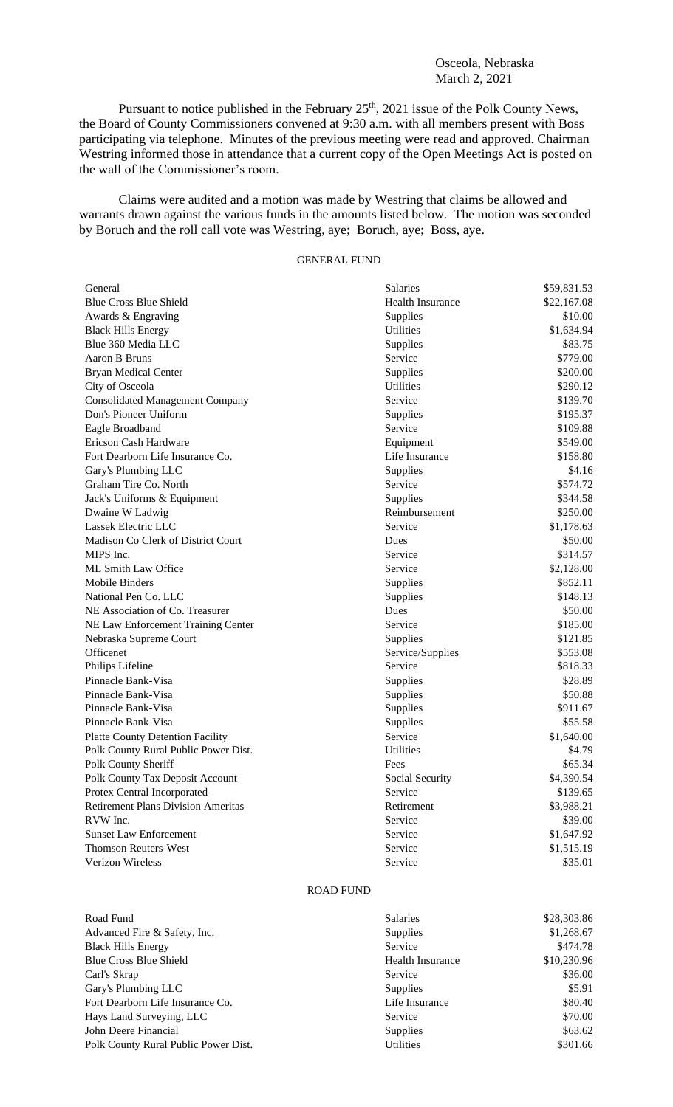## Osceola, Nebraska March 2, 2021

Pursuant to notice published in the February  $25<sup>th</sup>$ ,  $2021$  issue of the Polk County News, the Board of County Commissioners convened at 9:30 a.m. with all members present with Boss participating via telephone. Minutes of the previous meeting were read and approved. Chairman Westring informed those in attendance that a current copy of the Open Meetings Act is posted on the wall of the Commissioner's room.

Claims were audited and a motion was made by Westring that claims be allowed and warrants drawn against the various funds in the amounts listed below. The motion was seconded by Boruch and the roll call vote was Westring, aye; Boruch, aye; Boss, aye.

## GENERAL FUND

| General                                   | Salaries                | \$59,831.53 |
|-------------------------------------------|-------------------------|-------------|
| <b>Blue Cross Blue Shield</b>             | <b>Health Insurance</b> | \$22,167.08 |
| Awards & Engraving                        | Supplies                | \$10.00     |
| <b>Black Hills Energy</b>                 | Utilities               | \$1,634.94  |
| Blue 360 Media LLC                        | Supplies                | \$83.75     |
| Aaron B Bruns                             | Service                 | \$779.00    |
| <b>Bryan Medical Center</b>               | Supplies                | \$200.00    |
| City of Osceola                           | Utilities               | \$290.12    |
| <b>Consolidated Management Company</b>    | Service                 | \$139.70    |
| Don's Pioneer Uniform                     | Supplies                | \$195.37    |
| Eagle Broadband                           | Service                 | \$109.88    |
| Ericson Cash Hardware                     | Equipment               | \$549.00    |
| Fort Dearborn Life Insurance Co.          | Life Insurance          | \$158.80    |
| Gary's Plumbing LLC                       | Supplies                | \$4.16      |
| Graham Tire Co. North                     | Service                 | \$574.72    |
| Jack's Uniforms & Equipment               | Supplies                | \$344.58    |
| Dwaine W Ladwig                           | Reimbursement           | \$250.00    |
| Lassek Electric LLC                       | Service                 | \$1,178.63  |
| Madison Co Clerk of District Court        | Dues                    | \$50.00     |
| MIPS Inc.                                 | Service                 | \$314.57    |
| ML Smith Law Office                       | Service                 | \$2,128.00  |
| Mobile Binders                            | Supplies                | \$852.11    |
| National Pen Co. LLC                      | Supplies                | \$148.13    |
| NE Association of Co. Treasurer           | Dues                    | \$50.00     |
| NE Law Enforcement Training Center        | Service                 | \$185.00    |
| Nebraska Supreme Court                    | Supplies                | \$121.85    |
| Officenet                                 | Service/Supplies        | \$553.08    |
| Philips Lifeline                          | Service                 | \$818.33    |
| Pinnacle Bank-Visa                        | Supplies                | \$28.89     |
| Pinnacle Bank-Visa                        | Supplies                | \$50.88     |
| Pinnacle Bank-Visa                        | Supplies                | \$911.67    |
| Pinnacle Bank-Visa                        | Supplies                | \$55.58     |
| <b>Platte County Detention Facility</b>   | Service                 | \$1,640.00  |
| Polk County Rural Public Power Dist.      | <b>Utilities</b>        | \$4.79      |
| Polk County Sheriff                       | Fees                    | \$65.34     |
| Polk County Tax Deposit Account           | Social Security         | \$4,390.54  |
| Protex Central Incorporated               | Service                 | \$139.65    |
| <b>Retirement Plans Division Ameritas</b> | Retirement              | \$3,988.21  |
| RVW Inc.                                  | Service                 | \$39.00     |
| <b>Sunset Law Enforcement</b>             | Service                 | \$1,647.92  |
| <b>Thomson Reuters-West</b>               | Service                 | \$1,515.19  |
| Verizon Wireless                          | Service                 | \$35.01     |

## ROAD FUND

| <b>Salaries</b>  | \$28,303.86 |
|------------------|-------------|
| <b>Supplies</b>  | \$1,268.67  |
| Service          | \$474.78    |
| Health Insurance | \$10,230.96 |
| Service          | \$36.00     |
| Supplies         | \$5.91      |
| Life Insurance   | \$80.40     |
| Service          | \$70.00     |
| <b>Supplies</b>  | \$63.62     |
| <b>Utilities</b> | \$301.66    |
|                  |             |